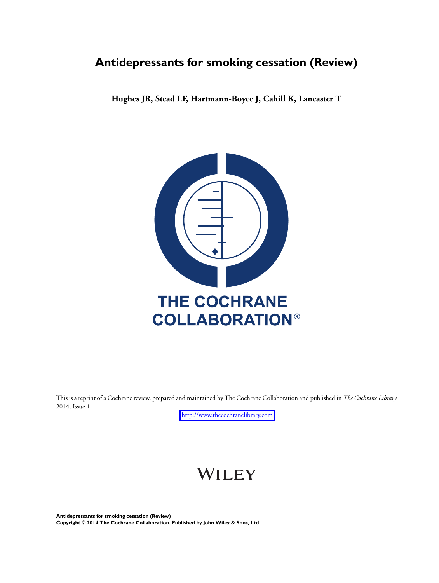# **Antidepressants for smoking cessation (Review)**

**Hughes JR, Stead LF, Hartmann-Boyce J, Cahill K, Lancaster T**



This is a reprint of a Cochrane review, prepared and maintained by The Cochrane Collaboration and published in *The Cochrane Library* 2014, Issue 1

<http://www.thecochranelibrary.com>

# WILEY

**Antidepressants for smoking cessation (Review) Copyright © 2014 The Cochrane Collaboration. Published by John Wiley & Sons, Ltd.**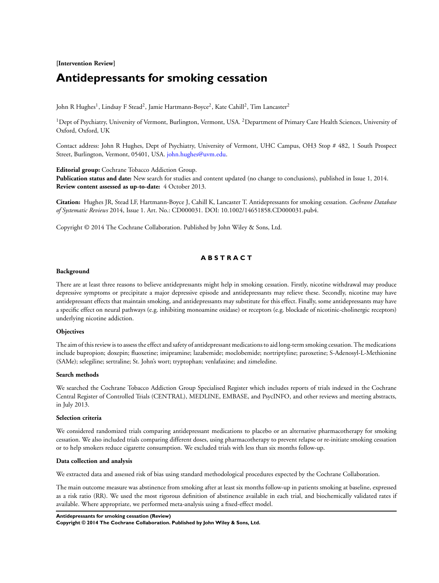## **[Intervention Review]**

# **Antidepressants for smoking cessation**

John R Hughes<sup>1</sup>, Lindsay F Stead<sup>2</sup>, Jamie Hartmann-Boyce<sup>2</sup>, Kate Cahill<sup>2</sup>, Tim Lancaster<sup>2</sup>

<sup>1</sup>Dept of Psychiatry, University of Vermont, Burlington, Vermont, USA. <sup>2</sup>Department of Primary Care Health Sciences, University of Oxford, Oxford, UK

Contact address: John R Hughes, Dept of Psychiatry, University of Vermont, UHC Campus, OH3 Stop # 482, 1 South Prospect Street, Burlington, Vermont, 05401, USA. [john.hughes@uvm.edu.](mailto:john.hughes@uvm.edu)

**Editorial group:** Cochrane Tobacco Addiction Group.

**Publication status and date:** New search for studies and content updated (no change to conclusions), published in Issue 1, 2014. **Review content assessed as up-to-date:** 4 October 2013.

**Citation:** Hughes JR, Stead LF, Hartmann-Boyce J, Cahill K, Lancaster T. Antidepressants for smoking cessation. *Cochrane Database of Systematic Reviews* 2014, Issue 1. Art. No.: CD000031. DOI: 10.1002/14651858.CD000031.pub4.

Copyright © 2014 The Cochrane Collaboration. Published by John Wiley & Sons, Ltd.

## **A B S T R A C T**

#### **Background**

There are at least three reasons to believe antidepressants might help in smoking cessation. Firstly, nicotine withdrawal may produce depressive symptoms or precipitate a major depressive episode and antidepressants may relieve these. Secondly, nicotine may have antidepressant effects that maintain smoking, and antidepressants may substitute for this effect. Finally, some antidepressants may have a specific effect on neural pathways (e.g. inhibiting monoamine oxidase) or receptors (e.g. blockade of nicotinic-cholinergic receptors) underlying nicotine addiction.

#### **Objectives**

The aim of this review is to assess the effect and safety of antidepressant medications to aid long-term smoking cessation. The medications include bupropion; doxepin; fluoxetine; imipramine; lazabemide; moclobemide; nortriptyline; paroxetine; S-Adenosyl-L-Methionine (SAMe); selegiline; sertraline; St. John's wort; tryptophan; venlafaxine; and zimeledine.

#### **Search methods**

We searched the Cochrane Tobacco Addiction Group Specialised Register which includes reports of trials indexed in the Cochrane Central Register of Controlled Trials (CENTRAL), MEDLINE, EMBASE, and PsycINFO, and other reviews and meeting abstracts, in July 2013.

#### **Selection criteria**

We considered randomized trials comparing antidepressant medications to placebo or an alternative pharmacotherapy for smoking cessation. We also included trials comparing different doses, using pharmacotherapy to prevent relapse or re-initiate smoking cessation or to help smokers reduce cigarette consumption. We excluded trials with less than six months follow-up.

#### **Data collection and analysis**

We extracted data and assessed risk of bias using standard methodological procedures expected by the Cochrane Collaboration.

The main outcome measure was abstinence from smoking after at least six months follow-up in patients smoking at baseline, expressed as a risk ratio (RR). We used the most rigorous definition of abstinence available in each trial, and biochemically validated rates if available. Where appropriate, we performed meta-analysis using a fixed-effect model.

**Antidepressants for smoking cessation (Review)**

**Copyright © 2014 The Cochrane Collaboration. Published by John Wiley & Sons, Ltd.**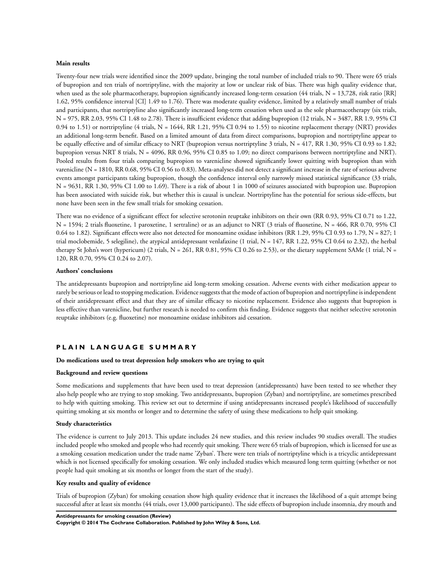#### **Main results**

Twenty-four new trials were identified since the 2009 update, bringing the total number of included trials to 90. There were 65 trials of bupropion and ten trials of nortriptyline, with the majority at low or unclear risk of bias. There was high quality evidence that, when used as the sole pharmacotherapy, bupropion significantly increased long-term cessation ( $44$  trials, N = 13,728, risk ratio [RR] 1.62, 95% confidence interval [CI] 1.49 to 1.76). There was moderate quality evidence, limited by a relatively small number of trials and participants, that nortriptyline also significantly increased long-term cessation when used as the sole pharmacotherapy (six trials, N = 975, RR 2.03, 95% CI 1.48 to 2.78). There is insufficient evidence that adding bupropion (12 trials, N = 3487, RR 1.9, 95% CI 0.94 to 1.51) or nortriptyline (4 trials,  $N = 1644$ , RR 1.21, 95% CI 0.94 to 1.55) to nicotine replacement therapy (NRT) provides an additional long-term benefit. Based on a limited amount of data from direct comparisons, bupropion and nortriptyline appear to be equally effective and of similar efficacy to NRT (bupropion versus nortriptyline 3 trials, N = 417, RR 1.30, 95% CI 0.93 to 1.82; bupropion versus NRT 8 trials, N = 4096, RR 0.96, 95% CI 0.85 to 1.09; no direct comparisons between nortriptyline and NRT). Pooled results from four trials comparing bupropion to varenicline showed significantly lower quitting with bupropion than with varenicline (N = 1810, RR 0.68, 95% CI 0.56 to 0.83). Meta-analyses did not detect a significant increase in the rate of serious adverse events amongst participants taking bupropion, though the confidence interval only narrowly missed statistical significance (33 trials, N = 9631, RR 1.30, 95% CI 1.00 to 1.69). There is a risk of about 1 in 1000 of seizures associated with bupropion use. Bupropion has been associated with suicide risk, but whether this is causal is unclear. Nortriptyline has the potential for serious side-effects, but none have been seen in the few small trials for smoking cessation.

There was no evidence of a significant effect for selective serotonin reuptake inhibitors on their own (RR 0.93, 95% CI 0.71 to 1.22, N = 1594; 2 trials fluoxetine, 1 paroxetine, 1 sertraline) or as an adjunct to NRT (3 trials of fluoxetine, N = 466, RR 0.70, 95% CI 0.64 to 1.82). Significant effects were also not detected for monoamine oxidase inhibitors (RR 1.29, 95% CI 0.93 to 1.79,  $N = 827$ ; 1 trial moclobemide, 5 selegiline), the atypical antidepressant venlafaxine (1 trial,  $N = 147$ , RR 1.22, 95% CI 0.64 to 2.32), the herbal therapy St John's wort (hypericum) (2 trials,  $N = 261$ , RR 0.81, 95% CI 0.26 to 2.53), or the dietary supplement SAMe (1 trial,  $N =$ 120, RR 0.70, 95% CI 0.24 to 2.07).

#### **Authors' conclusions**

The antidepressants bupropion and nortriptyline aid long-term smoking cessation. Adverse events with either medication appear to rarely be serious or lead to stopping medication. Evidence suggests that the mode of action of bupropion and nortriptyline is independent of their antidepressant effect and that they are of similar efficacy to nicotine replacement. Evidence also suggests that bupropion is less effective than varenicline, but further research is needed to confirm this finding. Evidence suggests that neither selective serotonin reuptake inhibitors (e.g. fluoxetine) nor monoamine oxidase inhibitors aid cessation.

#### **P L A I N L A N G U A G E S U M M A R Y**

#### **Do medications used to treat depression help smokers who are trying to quit**

## **Background and review questions**

Some medications and supplements that have been used to treat depression (antidepressants) have been tested to see whether they also help people who are trying to stop smoking. Two antidepressants, bupropion (Zyban) and nortriptyline, are sometimes prescribed to help with quitting smoking. This review set out to determine if using antidepressants increased people's likelihood of successfully quitting smoking at six months or longer and to determine the safety of using these medications to help quit smoking.

#### **Study characteristics**

The evidence is current to July 2013. This update includes 24 new studies, and this review includes 90 studies overall. The studies included people who smoked and people who had recently quit smoking. There were 65 trials of bupropion, which is licensed for use as a smoking cessation medication under the trade name 'Zyban'. There were ten trials of nortriptyline which is a tricyclic antidepressant which is not licensed specifically for smoking cessation. We only included studies which measured long term quitting (whether or not people had quit smoking at six months or longer from the start of the study).

#### **Key results and quality of evidence**

Trials of bupropion (Zyban) for smoking cessation show high quality evidence that it increases the likelihood of a quit attempt being successful after at least six months (44 trials, over 13,000 participants). The side effects of bupropion include insomnia, dry mouth and